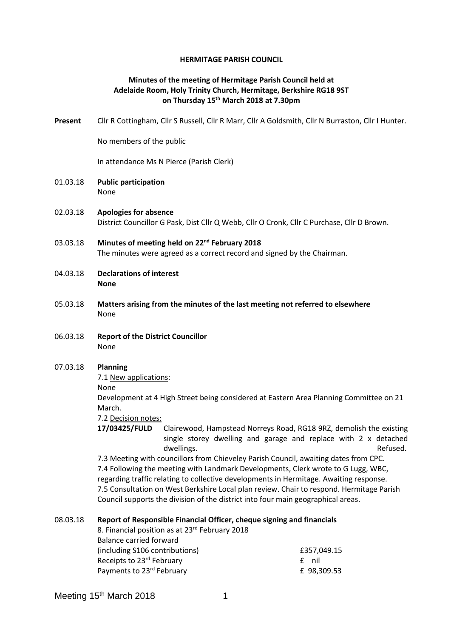### **HERMITAGE PARISH COUNCIL**

# **Minutes of the meeting of Hermitage Parish Council held at Adelaide Room, Holy Trinity Church, Hermitage, Berkshire RG18 9ST on Thursday 15th March 2018 at 7.30pm**

**Present** Cllr R Cottingham, Cllr S Russell, Cllr R Marr, Cllr A Goldsmith, Cllr N Burraston, Cllr I Hunter.

No members of the public

In attendance Ms N Pierce (Parish Clerk)

- 01.03.18 **Public participation**  None
- 02.03.18 **Apologies for absence** District Councillor G Pask, Dist Cllr Q Webb, Cllr O Cronk, Cllr C Purchase, Cllr D Brown.
- 03.03.18 **Minutes of meeting held on 22nd February 2018** The minutes were agreed as a correct record and signed by the Chairman.
- 04.03.18 **Declarations of interest None**
- 05.03.18 **Matters arising from the minutes of the last meeting not referred to elsewhere** None
- 06.03.18 **Report of the District Councillor** None

#### 07.03.18 **Planning**

7.1 New applications:

None

Development at 4 High Street being considered at Eastern Area Planning Committee on 21 March.

7.2 Decision notes:

**17/03425/FULD** Clairewood, Hampstead Norreys Road, RG18 9RZ, demolish the existing single storey dwelling and garage and replace with 2 x detached dwellings. The contract of the contract of the contract of the contract of the contract of the contract of the contract of the contract of the contract of the contract of the contract of the contract of the contract of the

7.3 Meeting with councillors from Chieveley Parish Council, awaiting dates from CPC. 7.4 Following the meeting with Landmark Developments, Clerk wrote to G Lugg, WBC, regarding traffic relating to collective developments in Hermitage. Awaiting response. 7.5 Consultation on West Berkshire Local plan review. Chair to respond. Hermitage Parish Council supports the division of the district into four main geographical areas.

#### 08.03.18 **Report of Responsible Financial Officer, cheque signing and financials**

| 8. Financial position as at 23rd February 2018 |             |
|------------------------------------------------|-------------|
| Balance carried forward                        |             |
| (including S106 contributions)                 | £357.049.15 |
| Receipts to 23rd February                      | f nil       |
| Payments to 23rd February                      | £ 98,309.53 |

Meeting 15<sup>th</sup> March 2018 1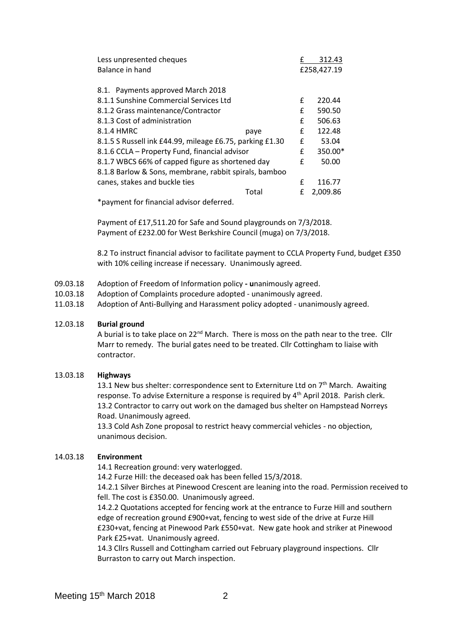| Less unpresented cheques                                 |       |             | 312.43   |
|----------------------------------------------------------|-------|-------------|----------|
| Balance in hand                                          |       | £258,427.19 |          |
|                                                          |       |             |          |
| 8.1. Payments approved March 2018                        |       |             |          |
| 8.1.1 Sunshine Commercial Services Ltd                   |       | £           | 220.44   |
| 8.1.2 Grass maintenance/Contractor                       |       | £           | 590.50   |
| 8.1.3 Cost of administration                             |       | £           | 506.63   |
| 8.1.4 HMRC                                               | paye  | £           | 122.48   |
| 8.1.5 S Russell ink £44.99, mileage £6.75, parking £1.30 |       | £           | 53.04    |
| 8.1.6 CCLA - Property Fund, financial advisor            |       | £           | 350.00*  |
| 8.1.7 WBCS 66% of capped figure as shortened day         |       | £           | 50.00    |
| 8.1.8 Barlow & Sons, membrane, rabbit spirals, bamboo    |       |             |          |
| canes, stakes and buckle ties                            |       | £           | 116.77   |
|                                                          | Total | f           | 2,009.86 |
|                                                          |       |             |          |

\*payment for financial advisor deferred.

Payment of £17,511.20 for Safe and Sound playgrounds on 7/3/2018. Payment of £232.00 for West Berkshire Council (muga) on 7/3/2018.

8.2 To instruct financial advisor to facilitate payment to CCLA Property Fund, budget £350 with 10% ceiling increase if necessary. Unanimously agreed.

- 09.03.18 Adoption of Freedom of Information policy **- u**nanimously agreed.
- 10.03.18 Adoption of Complaints procedure adopted unanimously agreed.
- 11.03.18 Adoption of Anti-Bullying and Harassment policy adopted unanimously agreed.

### 12.03.18 **Burial ground**

A burial is to take place on 22<sup>nd</sup> March. There is moss on the path near to the tree. Cllr Marr to remedy. The burial gates need to be treated. Cllr Cottingham to liaise with contractor.

### 13.03.18 **Highways**

13.1 New bus shelter: correspondence sent to Externiture Ltd on  $7<sup>th</sup>$  March. Awaiting response. To advise Externiture a response is required by 4th April 2018. Parish clerk. 13.2 Contractor to carry out work on the damaged bus shelter on Hampstead Norreys Road. Unanimously agreed.

13.3 Cold Ash Zone proposal to restrict heavy commercial vehicles - no objection, unanimous decision.

# 14.03.18 **Environment**

14.1 Recreation ground: very waterlogged.

14.2 Furze Hill: the deceased oak has been felled 15/3/2018.

14.2.1 Silver Birches at Pinewood Crescent are leaning into the road. Permission received to fell. The cost is £350.00. Unanimously agreed.

14.2.2 Quotations accepted for fencing work at the entrance to Furze Hill and southern edge of recreation ground £900+vat, fencing to west side of the drive at Furze Hill £230+vat, fencing at Pinewood Park £550+vat. New gate hook and striker at Pinewood Park £25+vat. Unanimously agreed.

14.3 Cllrs Russell and Cottingham carried out February playground inspections. Cllr Burraston to carry out March inspection.